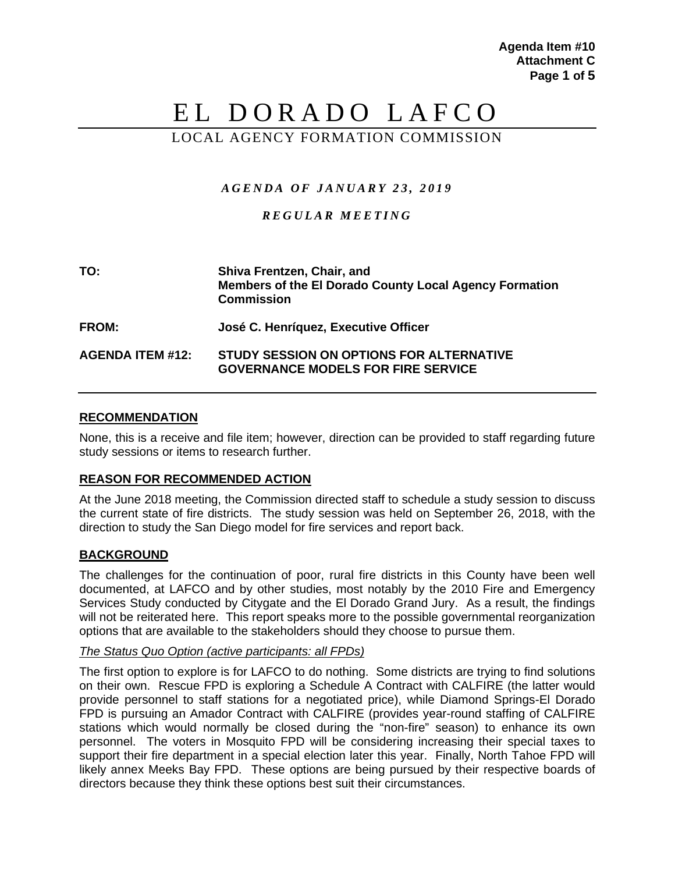# EL DORADO LAFCO

# LOCAL AGENCY FORMATION COMMISSION

# *AGENDA OF JANUARY 23 , 20 1 9*

# *REGULAR MEET ING*

| TO:                     | Shiva Frentzen, Chair, and<br><b>Members of the El Dorado County Local Agency Formation</b><br><b>Commission</b> |
|-------------------------|------------------------------------------------------------------------------------------------------------------|
| <b>FROM:</b>            | José C. Henríquez, Executive Officer                                                                             |
| <b>AGENDA ITEM #12:</b> | STUDY SESSION ON OPTIONS FOR ALTERNATIVE<br><b>GOVERNANCE MODELS FOR FIRE SERVICE</b>                            |

## **RECOMMENDATION**

None, this is a receive and file item; however, direction can be provided to staff regarding future study sessions or items to research further.

# **REASON FOR RECOMMENDED ACTION**

At the June 2018 meeting, the Commission directed staff to schedule a study session to discuss the current state of fire districts. The study session was held on September 26, 2018, with the direction to study the San Diego model for fire services and report back.

# **BACKGROUND**

The challenges for the continuation of poor, rural fire districts in this County have been well documented, at LAFCO and by other studies, most notably by the 2010 Fire and Emergency Services Study conducted by Citygate and the El Dorado Grand Jury. As a result, the findings will not be reiterated here. This report speaks more to the possible governmental reorganization options that are available to the stakeholders should they choose to pursue them.

#### *The Status Quo Option (active participants: all FPDs)*

The first option to explore is for LAFCO to do nothing. Some districts are trying to find solutions on their own. Rescue FPD is exploring a Schedule A Contract with CALFIRE (the latter would provide personnel to staff stations for a negotiated price), while Diamond Springs-El Dorado FPD is pursuing an Amador Contract with CALFIRE (provides year-round staffing of CALFIRE stations which would normally be closed during the "non-fire" season) to enhance its own personnel. The voters in Mosquito FPD will be considering increasing their special taxes to support their fire department in a special election later this year. Finally, North Tahoe FPD will likely annex Meeks Bay FPD. These options are being pursued by their respective boards of directors because they think these options best suit their circumstances.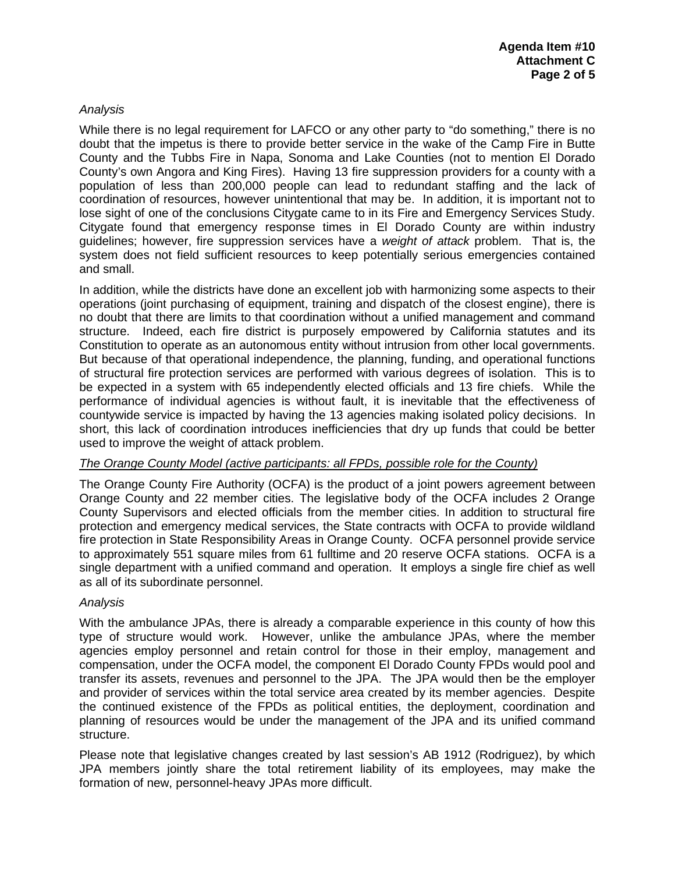# *Analysis*

While there is no legal requirement for LAFCO or any other party to "do something," there is no doubt that the impetus is there to provide better service in the wake of the Camp Fire in Butte County and the Tubbs Fire in Napa, Sonoma and Lake Counties (not to mention El Dorado County's own Angora and King Fires). Having 13 fire suppression providers for a county with a population of less than 200,000 people can lead to redundant staffing and the lack of coordination of resources, however unintentional that may be. In addition, it is important not to lose sight of one of the conclusions Citygate came to in its Fire and Emergency Services Study. Citygate found that emergency response times in El Dorado County are within industry guidelines; however, fire suppression services have a *weight of attack* problem. That is, the system does not field sufficient resources to keep potentially serious emergencies contained and small.

In addition, while the districts have done an excellent job with harmonizing some aspects to their operations (joint purchasing of equipment, training and dispatch of the closest engine), there is no doubt that there are limits to that coordination without a unified management and command structure. Indeed, each fire district is purposely empowered by California statutes and its Constitution to operate as an autonomous entity without intrusion from other local governments. But because of that operational independence, the planning, funding, and operational functions of structural fire protection services are performed with various degrees of isolation. This is to be expected in a system with 65 independently elected officials and 13 fire chiefs. While the performance of individual agencies is without fault, it is inevitable that the effectiveness of countywide service is impacted by having the 13 agencies making isolated policy decisions. In short, this lack of coordination introduces inefficiencies that dry up funds that could be better used to improve the weight of attack problem.

#### *The Orange County Model (active participants: all FPDs, possible role for the County)*

The Orange County Fire Authority (OCFA) is the product of a joint powers agreement between Orange County and 22 member cities. The legislative body of the OCFA includes 2 Orange County Supervisors and elected officials from the member cities. In addition to structural fire protection and emergency medical services, the State contracts with OCFA to provide wildland fire protection in State Responsibility Areas in Orange County. OCFA personnel provide service to approximately 551 square miles from 61 fulltime and 20 reserve OCFA stations. OCFA is a single department with a unified command and operation. It employs a single fire chief as well as all of its subordinate personnel.

#### *Analysis*

With the ambulance JPAs, there is already a comparable experience in this county of how this type of structure would work. However, unlike the ambulance JPAs, where the member agencies employ personnel and retain control for those in their employ, management and compensation, under the OCFA model, the component El Dorado County FPDs would pool and transfer its assets, revenues and personnel to the JPA. The JPA would then be the employer and provider of services within the total service area created by its member agencies. Despite the continued existence of the FPDs as political entities, the deployment, coordination and planning of resources would be under the management of the JPA and its unified command structure.

Please note that legislative changes created by last session's AB 1912 (Rodriguez), by which JPA members jointly share the total retirement liability of its employees, may make the formation of new, personnel-heavy JPAs more difficult.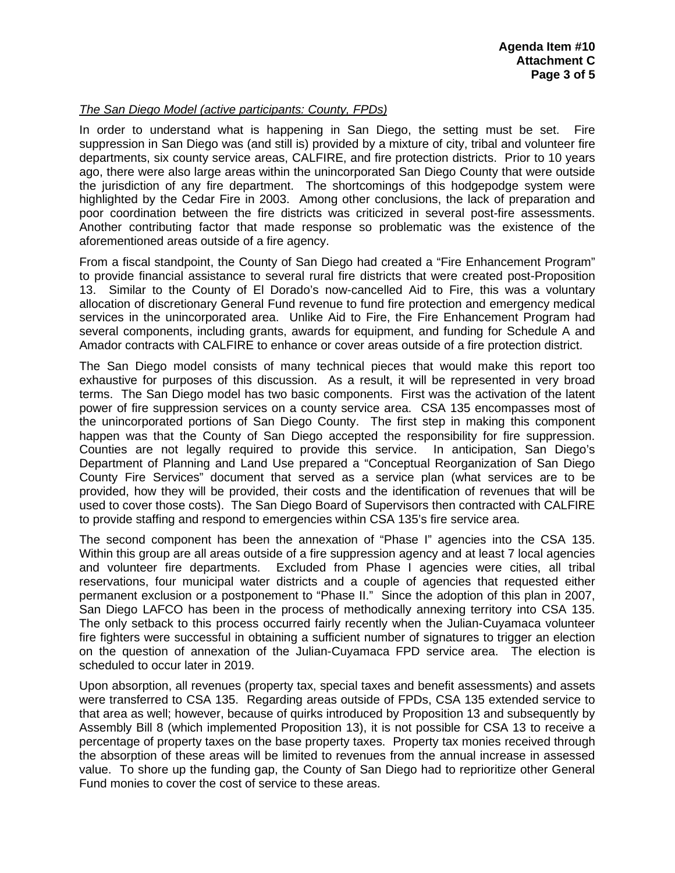# *The San Diego Model (active participants: County, FPDs)*

In order to understand what is happening in San Diego, the setting must be set. Fire suppression in San Diego was (and still is) provided by a mixture of city, tribal and volunteer fire departments, six county service areas, CALFIRE, and fire protection districts. Prior to 10 years ago, there were also large areas within the unincorporated San Diego County that were outside the jurisdiction of any fire department. The shortcomings of this hodgepodge system were highlighted by the Cedar Fire in 2003. Among other conclusions, the lack of preparation and poor coordination between the fire districts was criticized in several post-fire assessments. Another contributing factor that made response so problematic was the existence of the aforementioned areas outside of a fire agency.

From a fiscal standpoint, the County of San Diego had created a "Fire Enhancement Program" to provide financial assistance to several rural fire districts that were created post-Proposition 13. Similar to the County of El Dorado's now-cancelled Aid to Fire, this was a voluntary allocation of discretionary General Fund revenue to fund fire protection and emergency medical services in the unincorporated area. Unlike Aid to Fire, the Fire Enhancement Program had several components, including grants, awards for equipment, and funding for Schedule A and Amador contracts with CALFIRE to enhance or cover areas outside of a fire protection district.

The San Diego model consists of many technical pieces that would make this report too exhaustive for purposes of this discussion. As a result, it will be represented in very broad terms. The San Diego model has two basic components. First was the activation of the latent power of fire suppression services on a county service area. CSA 135 encompasses most of the unincorporated portions of San Diego County. The first step in making this component happen was that the County of San Diego accepted the responsibility for fire suppression. Counties are not legally required to provide this service. In anticipation, San Diego's Department of Planning and Land Use prepared a "Conceptual Reorganization of San Diego County Fire Services" document that served as a service plan (what services are to be provided, how they will be provided, their costs and the identification of revenues that will be used to cover those costs). The San Diego Board of Supervisors then contracted with CALFIRE to provide staffing and respond to emergencies within CSA 135's fire service area.

The second component has been the annexation of "Phase I" agencies into the CSA 135. Within this group are all areas outside of a fire suppression agency and at least 7 local agencies and volunteer fire departments. Excluded from Phase I agencies were cities, all tribal reservations, four municipal water districts and a couple of agencies that requested either permanent exclusion or a postponement to "Phase II." Since the adoption of this plan in 2007, San Diego LAFCO has been in the process of methodically annexing territory into CSA 135. The only setback to this process occurred fairly recently when the Julian-Cuyamaca volunteer fire fighters were successful in obtaining a sufficient number of signatures to trigger an election on the question of annexation of the Julian-Cuyamaca FPD service area. The election is scheduled to occur later in 2019.

Upon absorption, all revenues (property tax, special taxes and benefit assessments) and assets were transferred to CSA 135. Regarding areas outside of FPDs, CSA 135 extended service to that area as well; however, because of quirks introduced by Proposition 13 and subsequently by Assembly Bill 8 (which implemented Proposition 13), it is not possible for CSA 13 to receive a percentage of property taxes on the base property taxes. Property tax monies received through the absorption of these areas will be limited to revenues from the annual increase in assessed value. To shore up the funding gap, the County of San Diego had to reprioritize other General Fund monies to cover the cost of service to these areas.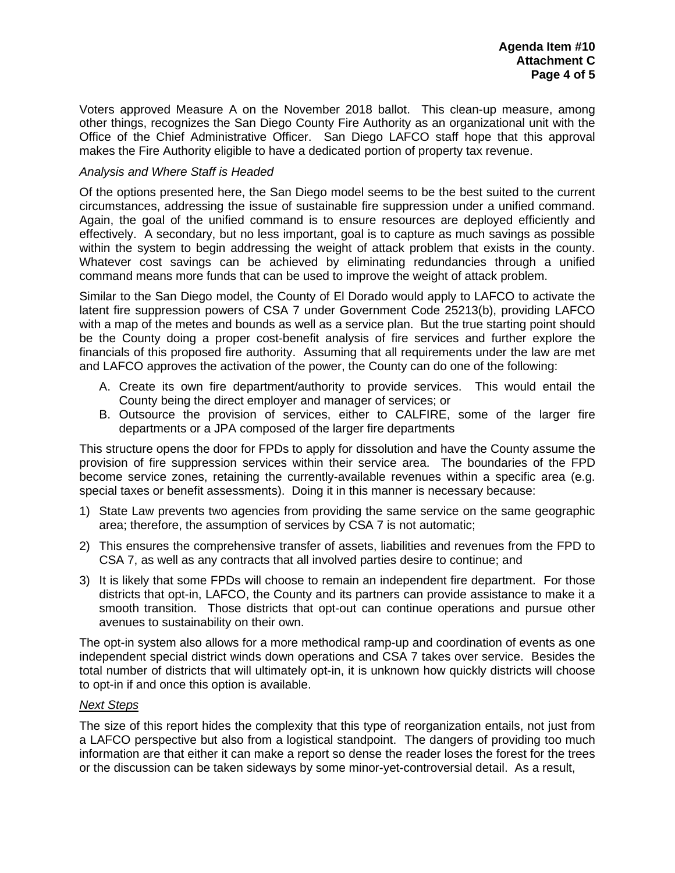Voters approved Measure A on the November 2018 ballot. This clean-up measure, among other things, recognizes the San Diego County Fire Authority as an organizational unit with the Office of the Chief Administrative Officer. San Diego LAFCO staff hope that this approval makes the Fire Authority eligible to have a dedicated portion of property tax revenue.

## *Analysis and Where Staff is Headed*

Of the options presented here, the San Diego model seems to be the best suited to the current circumstances, addressing the issue of sustainable fire suppression under a unified command. Again, the goal of the unified command is to ensure resources are deployed efficiently and effectively. A secondary, but no less important, goal is to capture as much savings as possible within the system to begin addressing the weight of attack problem that exists in the county. Whatever cost savings can be achieved by eliminating redundancies through a unified command means more funds that can be used to improve the weight of attack problem.

Similar to the San Diego model, the County of El Dorado would apply to LAFCO to activate the latent fire suppression powers of CSA 7 under Government Code 25213(b), providing LAFCO with a map of the metes and bounds as well as a service plan. But the true starting point should be the County doing a proper cost-benefit analysis of fire services and further explore the financials of this proposed fire authority. Assuming that all requirements under the law are met and LAFCO approves the activation of the power, the County can do one of the following:

- A. Create its own fire department/authority to provide services. This would entail the County being the direct employer and manager of services; or
- B. Outsource the provision of services, either to CALFIRE, some of the larger fire departments or a JPA composed of the larger fire departments

This structure opens the door for FPDs to apply for dissolution and have the County assume the provision of fire suppression services within their service area. The boundaries of the FPD become service zones, retaining the currently-available revenues within a specific area (e.g. special taxes or benefit assessments). Doing it in this manner is necessary because:

- 1) State Law prevents two agencies from providing the same service on the same geographic area; therefore, the assumption of services by CSA 7 is not automatic;
- 2) This ensures the comprehensive transfer of assets, liabilities and revenues from the FPD to CSA 7, as well as any contracts that all involved parties desire to continue; and
- 3) It is likely that some FPDs will choose to remain an independent fire department. For those districts that opt-in, LAFCO, the County and its partners can provide assistance to make it a smooth transition. Those districts that opt-out can continue operations and pursue other avenues to sustainability on their own.

The opt-in system also allows for a more methodical ramp-up and coordination of events as one independent special district winds down operations and CSA 7 takes over service. Besides the total number of districts that will ultimately opt-in, it is unknown how quickly districts will choose to opt-in if and once this option is available.

## *Next Steps*

The size of this report hides the complexity that this type of reorganization entails, not just from a LAFCO perspective but also from a logistical standpoint. The dangers of providing too much information are that either it can make a report so dense the reader loses the forest for the trees or the discussion can be taken sideways by some minor-yet-controversial detail. As a result,